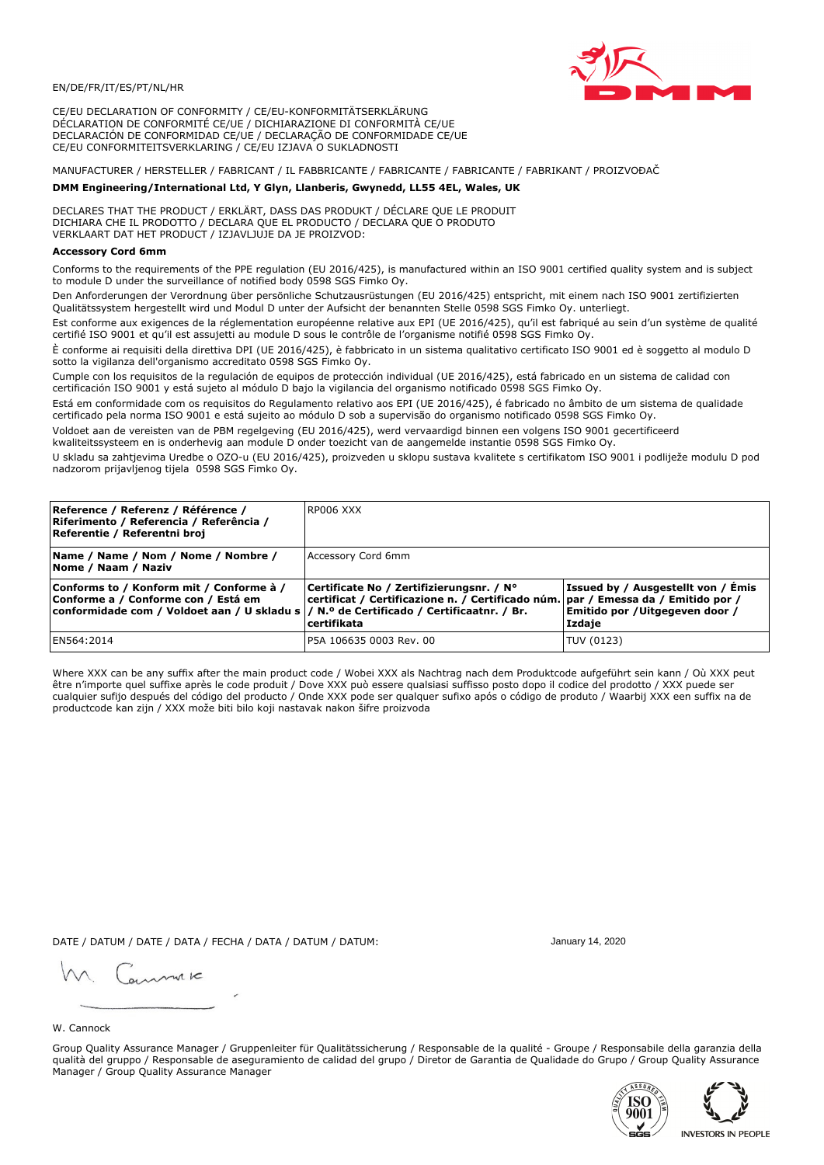

CE/EU DECLARATION OF CONFORMITY / CE/EU-KONFORMITÄTSERKLÄRUNG DÉCLARATION DE CONFORMITÉ CE/UE / DICHIARAZIONE DI CONFORMITÀ CE/UE DECLARACIÓN DE CONFORMIDAD CE/UE / DECLARAÇÃO DE CONFORMIDADE CE/UE CE/EU CONFORMITEITSVERKLARING / CE/EU IZJAVA O SUKLADNOSTI

# MANUFACTURER / HERSTELLER / FABRICANT / IL FABBRICANTE / FABRICANTE / FABRICANTE / FABRIKANT / PROIZVOĐAČ

## DMM Engineering/International Ltd, Y Glyn, Llanberis, Gwynedd, LL55 4EL, Wales, UK

DECLARES THAT THE PRODUCT / ERKLÄRT, DASS DAS PRODUKT / DÉCLARE QUE LE PRODUIT<br>DICHIARA CHE IL PRODOTTO / DECLARA QUE EL PRODUCTO / DECLARA QUE O PRODUTO VERKLAART DAT HET PRODUCT / IZJAVLJUJE DA JE PROIZVOD:

### **Accessory Cord 6mm**

Conforms to the requirements of the PPE regulation (EU 2016/425), is manufactured within an ISO 9001 certified quality system and is subject to module D under the surveillance of notified body 0598 SGS Fimko Oy.

Den Anforderungen der Verordnung über persönliche Schutzausrüstungen (EU 2016/425) entspricht, mit einem nach ISO 9001 zertifizierten Oualitätssystem hergestellt wird und Modul D unter der Aufsicht der benannten Stelle 0598 SGS Fimko Oy. unterliegt.

Est conforme aux exigences de la réglementation européenne relative aux EPI (UE 2016/425), qu'il est fabriqué au sein d'un système de qualité certifié ISO 9001 et qu'il est assujetti au module D sous le contrôle de l'organisme notifié 0598 SGS Fimko Oy.

È conforme ai requisiti della direttiva DPI (UE 2016/425), è fabbricato in un sistema qualitativo certificato ISO 9001 ed è soggetto al modulo D sotto la vigilanza dell'organismo accreditato 0598 SGS Fimko Oy.

Cumple con los requisitos de la regulación de equipos de protección individual (UE 2016/425), está fabricado en un sistema de calidad con certificación ISO 9001 y está sujeto al módulo D bajo la vigilancia del organismo notificado 0598 SGS Fimko Oy.

Está em conformidade com os requisitos do Regulamento relativo aos EPI (UE 2016/425), é fabricado no âmbito de um sistema de qualidade certificado pela norma ISO 9001 e está sujeito ao módulo D sob a supervisão do organismo notificado 0598 SGS Fimko Oy.

Voldoet aan de vereisten van de PBM regelgeving (EU 2016/425), werd vervaardigd binnen een volgens ISO 9001 gecertificeerd kwaliteitssysteem en is onderhevig aan module D onder toezicht van de aangemelde instantie 0598 SGS Fimko Oy.

U skladu sa zahtjevima Uredbe o OZO-u (EU 2016/425), proizveden u sklopu sustava kvalitete s certifikatom ISO 9001 i podliježe modulu D pod nadzorom prijavljenog tijela 0598 SGS Fimko Oy.

| Reference / Referenz / Référence /<br>Riferimento / Referencia / Referência /<br>Referentie / Referentni broj                                                               | RP006 XXX                                                                                                                                    |                                                                                 |
|-----------------------------------------------------------------------------------------------------------------------------------------------------------------------------|----------------------------------------------------------------------------------------------------------------------------------------------|---------------------------------------------------------------------------------|
| Name / Name / Nom / Nome / Nombre /<br>Nome / Naam / Naziv                                                                                                                  | Accessory Cord 6mm                                                                                                                           |                                                                                 |
| Conforms to / Konform mit / Conforme à /<br>Conforme a / Conforme con / Está em<br>conformidade com / Voldoet aan / U skladu s  / N.º de Certificado / Certificaatnr. / Br. | Certificate No / Zertifizierungsnr. / N°<br>certificat / Certificazione n. / Certificado núm. par / Emessa da / Emitido por /<br>certifikata | Issued by / Ausgestellt von / Émis<br>Emitido por / Uitgegeven door /<br>Izdaje |
| EN564:2014                                                                                                                                                                  | P5A 106635 0003 Rev. 00                                                                                                                      | TUV (0123)                                                                      |

Where XXX can be any suffix after the main product code / Wobei XXX als Nachtrag nach dem Produktcode aufgeführt sein kann / Où XXX peut être n'importe quel suffixe après le code produit / Dove XXX può essere qualsiasi suffisso posto dopo il codice del prodotto / XXX puede ser<br>cualquier sufijo después del código del producto / Onde XXX pode ser qualquer suf productcode kan zijn / XXX može biti bilo koji nastavak nakon šifre proizvoda

DATE / DATUM / DATE / DATA / FECHA / DATA / DATUM / DATUM:

gimmic

January 14, 2020

W. Cannock

Group Quality Assurance Manager / Gruppenleiter für Qualitätssicherung / Responsable de la qualité - Groupe / Responsabile della garanzia della qualità del gruppo / Responsable de aseguramiento de calidad del grupo / Diretor de Garantia de Qualidade do Grupo / Group Quality Assurance Manager / Group Quality Assurance Manager



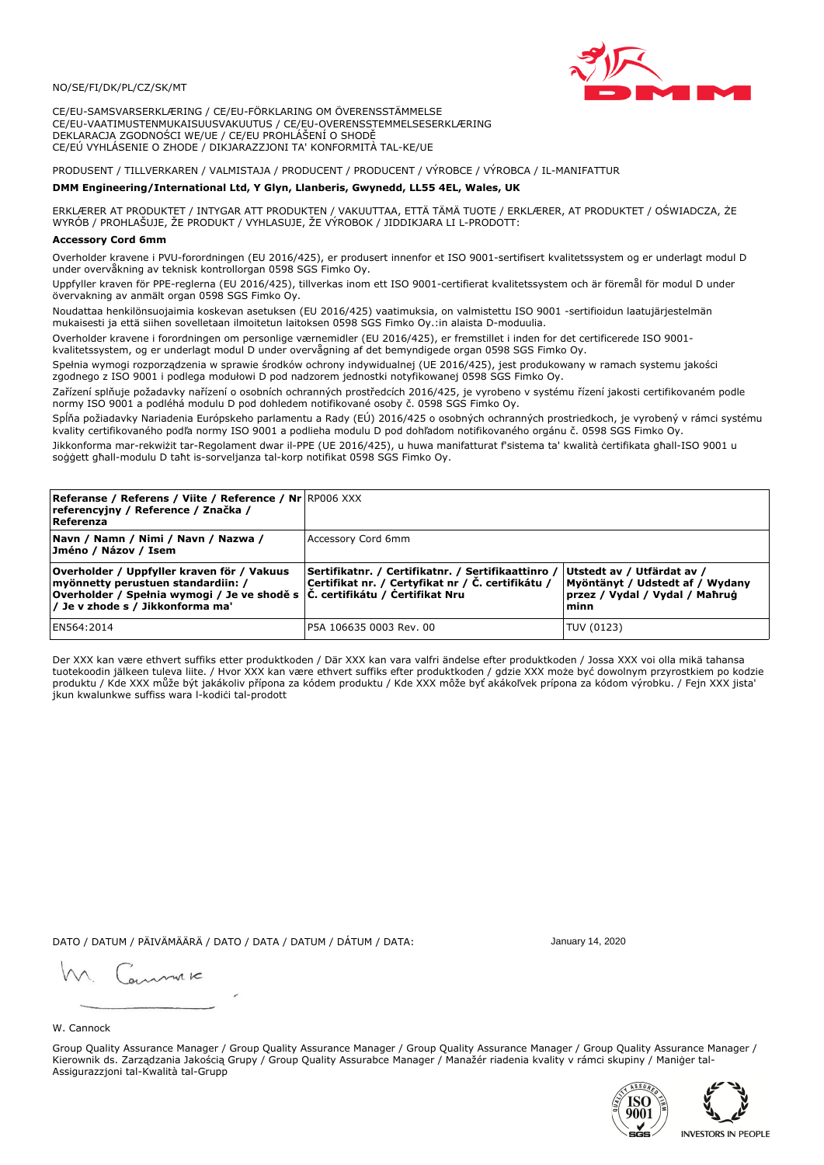

CE/EU-SAMSVARSERKLÆRING / CE/EU-FÖRKLARING OM ÖVERENSSTÄMMELSE CE/EU-VAATIMUSTENMUKAISUUSVAKUUTUS / CE/EU-OVERENSSTEMMELSESERKLÆRING DEKLARACJA ZGODNOŚCI WE/UE / CE/EU PROHLÁŠENÍ O SHODĚ CE/EÚ VYHLÁSENIE O ZHODE / DIKJARAZZJONI TA' KONFORMITÀ TAL-KE/UE

# PRODUSENT / TILLVERKAREN / VALMISTAJA / PRODUCENT / PRODUCENT / VÝROBCE / VÝROBCA / IL-MANIFATTUR

### DMM Engineering/International Ltd, Y Glyn, Llanberis, Gwynedd, LL55 4EL, Wales, UK

ERKLÆRER AT PRODUKTET / INTYGAR ATT PRODUKTEN / VAKUUTTAA, ETTÄ TÄMÄ TUOTE / ERKLÆRER, AT PRODUKTET / OŚWIADCZA, ŻE<br>WYRÓB / PROHLAŠUJE, ŽE PRODUKT / VYHLASUJE, ŽE VÝROBOK / JIDDIKJARA LI L-PRODOTT:

Overholder kravene i PVU-forordningen (EU 2016/425), er produsert innenfor et ISO 9001-sertifisert kvalitetssystem og er underlagt modul D under overvåkning av teknisk kontrollorgan 0598 SGS Fimko Oy.

Uppfyller kraven för PPE-reglerna (EU 2016/425), tillverkas inom ett ISO 9001-certifierat kvalitetssystem och är föremål för modul D under övervakning av anmält organ 0598 SGS Fimko Oy.

Noudattaa henkilönsuojaimia koskevan asetuksen (EU 2016/425) vaatimuksia, on valmistettu ISO 9001 -sertifioidun laatujärjestelmän mukaisesti ja että siihen sovelletaan ilmoitetun laitoksen 0598 SGS Fimko Oy.:in alaista D-moduulia.

Overholder kravene i forordningen om personlige værnemidler (EU 2016/425), er fremstillet i inden for det certificerede ISO 9001kvalitetssystem, og er underlagt modul D under overvågning af det bemyndigede organ 0598 SGS Fimko Oy.

Spełnia wymogi rozporządzenia w sprawie środków ochrony indywidualnej (UE 2016/425), jest produkowany w ramach systemu jakości zgodnego z ISO 9001 i podlega modułowi D pod nadzorem jednostki notyfikowanej 0598 SGS Fimko Oy.

Zařízení splňuje požadavky nařízení o osobních ochranných prostředcích 2016/425, je vyrobeno v systému řízení jakosti certifikovaném podle normy ISO 9001 a podléhá modulu D pod dohledem notifikované osoby č. 0598 SGS Fimko Oy.

Spĺňa požiadavky Nariadenia Európskeho parlamentu a Rady (EÚ) 2016/425 o osobných ochranných prostriedkoch, je vyrobený v rámci systému kvality certifikovaného podľa normy ISO 9001 a podlieha modulu D pod dohľadom notifikovaného orgánu č. 0598 SGS Fimko Oy.

Jikkonforma mar-rekwiżit tar-Regolament dwar il-PPE (UE 2016/425), u huwa manifatturat f'sistema ta' kwalità certifikata għall-ISO 9001 u soggett għall-modulu D taħt is-sorveljanza tal-korp notifikat 0598 SGS Fimko Oy.

| <b>Referanse / Referens / Viite / Reference / Nr</b> RP006 XXX<br>referencyjny / Reference / Značka /<br>Referenza                                                                                     |                                                                                                         |                                                                                                          |
|--------------------------------------------------------------------------------------------------------------------------------------------------------------------------------------------------------|---------------------------------------------------------------------------------------------------------|----------------------------------------------------------------------------------------------------------|
| Navn / Namn / Nimi / Navn / Nazwa /<br>Jméno / Názov / Isem                                                                                                                                            | Accessory Cord 6mm                                                                                      |                                                                                                          |
| Overholder / Uppfyller kraven för / Vakuus<br>myönnetty perustuen standardiin: /<br> Overholder / Spełnia wymogi / Je ve shodě s  Č. certifikátu / Čertifikat Nru<br> / Je v zhode s / Jikkonforma ma' | Sertifikatnr. / Certifikatnr. / Sertifikaattinro /<br>Certifikat nr. / Certyfikat nr / Č. certifikátu / | Utstedt av / Utfärdat av /<br>Myöntänyt / Udstedt af / Wydany<br>przez / Vydal / Vydal / Maħruġ<br>lminn |
| EN564:2014                                                                                                                                                                                             | P5A 106635 0003 Rev. 00                                                                                 | TUV (0123)                                                                                               |

Der XXX kan være ethvert suffiks etter produktkoden / Där XXX kan vara valfri ändelse efter produktkoden / Jossa XXX voi olla mikä tahansa tuotekoodin jälkeen tuleva liite. / Hvor XXX kan være ethvert suffiks efter produktkoden / gdzie XXX może być dowolnym przyrostkiem po kodzie produktu / Kde XXX může být jakákoliv přípona za kódem produktu / Kde XXX môže byť akákoľvek prípona za kódom výrobku. / Fejn XXX jista jkun kwalunkwe suffiss wara l-kodici tal-prodott

DATO / DATUM / PÄIVÄMÄÄRÄ / DATO / DATA / DATUM / DÁTUM / DATA:

January 14, 2020

annuic

W. Cannock

Group Quality Assurance Manager / Group Quality Assurance Manager / Group Quality Assurance Manager / Group Quality Assurance Manager / Kierownik ds. Zarządzania Jakością Grupy / Group Quality Assurabce Manager / Manažér riadenia kvality v rámci skupiny / Maniger tal-Assigurazzjoni tal-Kwalità tal-Grupp